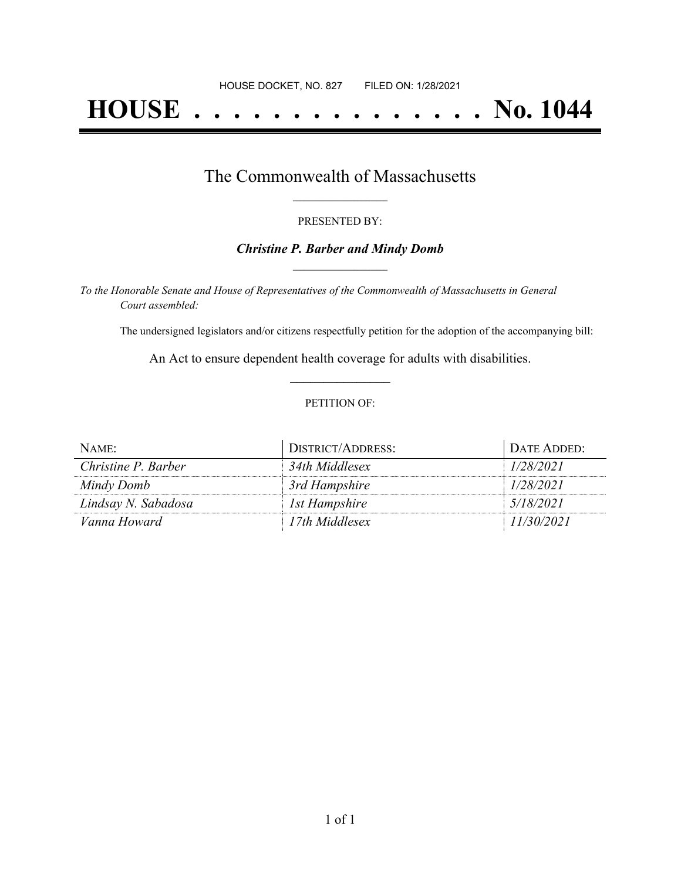# **HOUSE . . . . . . . . . . . . . . . No. 1044**

## The Commonwealth of Massachusetts **\_\_\_\_\_\_\_\_\_\_\_\_\_\_\_\_\_**

#### PRESENTED BY:

#### *Christine P. Barber and Mindy Domb* **\_\_\_\_\_\_\_\_\_\_\_\_\_\_\_\_\_**

*To the Honorable Senate and House of Representatives of the Commonwealth of Massachusetts in General Court assembled:*

The undersigned legislators and/or citizens respectfully petition for the adoption of the accompanying bill:

An Act to ensure dependent health coverage for adults with disabilities. **\_\_\_\_\_\_\_\_\_\_\_\_\_\_\_**

#### PETITION OF:

| NAME:               | DISTRICT/ADDRESS: | DATE ADDED: |
|---------------------|-------------------|-------------|
| Christine P. Barber | 34th Middlesex    | 1/28/2021   |
| Mindy Domb          | 3rd Hampshire     | 1/28/2021   |
| Lindsay N. Sabadosa | 1st Hampshire     | 5/18/2021   |
| Vanna Howard        | 17th Middlesex    | 11/30/2021  |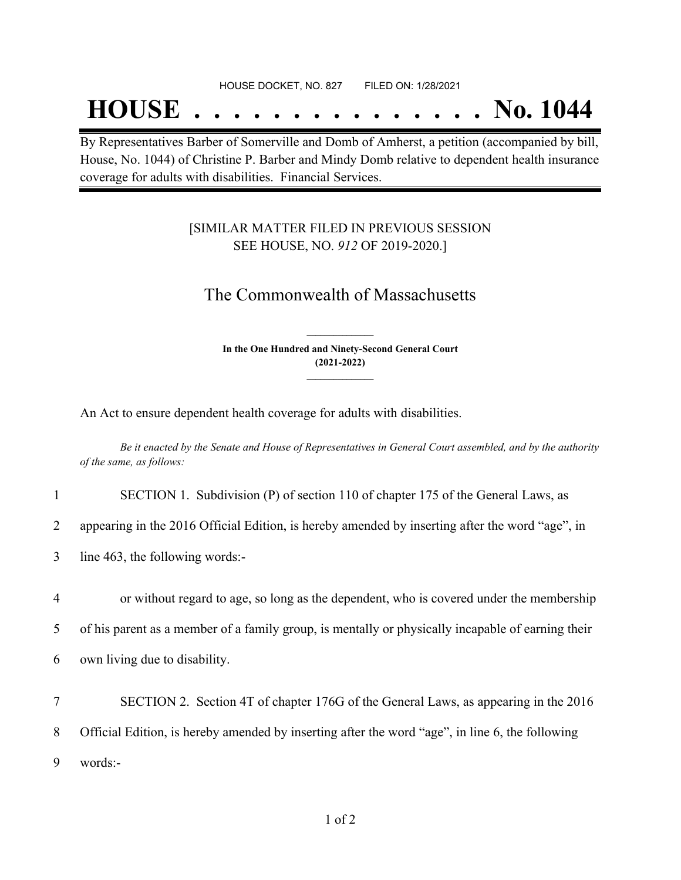## **HOUSE . . . . . . . . . . . . . . . No. 1044**

By Representatives Barber of Somerville and Domb of Amherst, a petition (accompanied by bill, House, No. 1044) of Christine P. Barber and Mindy Domb relative to dependent health insurance coverage for adults with disabilities. Financial Services.

### [SIMILAR MATTER FILED IN PREVIOUS SESSION SEE HOUSE, NO. *912* OF 2019-2020.]

## The Commonwealth of Massachusetts

**In the One Hundred and Ninety-Second General Court (2021-2022) \_\_\_\_\_\_\_\_\_\_\_\_\_\_\_**

**\_\_\_\_\_\_\_\_\_\_\_\_\_\_\_**

An Act to ensure dependent health coverage for adults with disabilities.

Be it enacted by the Senate and House of Representatives in General Court assembled, and by the authority *of the same, as follows:*

| SECTION 1. Subdivision (P) of section 110 of chapter 175 of the General Laws, as |
|----------------------------------------------------------------------------------|
|----------------------------------------------------------------------------------|

2 appearing in the 2016 Official Edition, is hereby amended by inserting after the word "age", in

3 line 463, the following words:-

4 or without regard to age, so long as the dependent, who is covered under the membership 5 of his parent as a member of a family group, is mentally or physically incapable of earning their 6 own living due to disability.

7 SECTION 2. Section 4T of chapter 176G of the General Laws, as appearing in the 2016 8 Official Edition, is hereby amended by inserting after the word "age", in line 6, the following 9 words:-